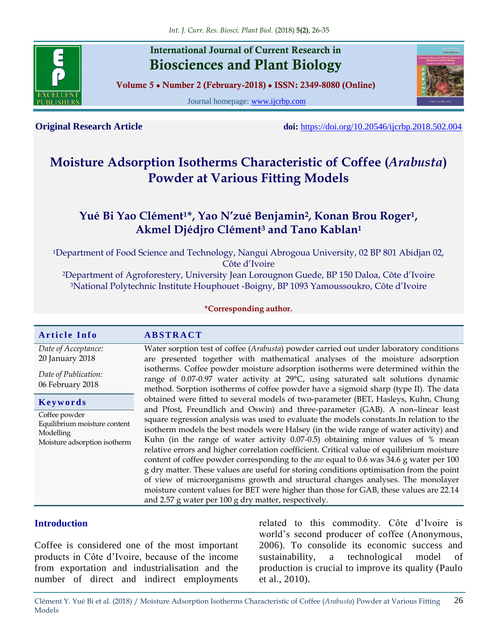

# **International Journal of Current Research in Biosciences and Plant Biology**

**Volume 5 ● Number 2 (February-2018) ● ISSN: 2349-8080 (Online)**

Journal homepage: [www.ijcrbp.com](http://www.ijcrbp.com/)



**Original Research Article doi:** <https://doi.org/10.20546/ijcrbp.2018.502.004>

# **Moisture Adsorption Isotherms Characteristic of Coffee (***Arabusta***) Powder at Various Fitting Models**

## **Yué Bi Yao Clément1\*, Yao N'zué Benjamin<sup>2</sup> , Konan Brou Roger<sup>1</sup> , Akmel Djédjro Clément<sup>3</sup> and Tano Kablan<sup>1</sup>**

<sup>1</sup>Department of Food Science and Technology, Nangui Abrogoua University, 02 BP 801 Abidjan 02, Côte d'Ivoire

<sup>2</sup>Department of Agroforestery, University Jean Lorougnon Guede, BP 150 Daloa, Côte d'Ivoire <sup>3</sup>National Polytechnic Institute Houphouet -Boigny, BP 1093 Yamoussoukro, Côte d'Ivoire

#### **\*Corresponding author.**

#### Article Info<br>**ABSTRACT**

*Date of Acceptance:* 20 January 2018

*Date of Publication:* 06 February 2018

**K e y w o r d s**

Coffee powder Equilibrium moisture content Modelling Moisture adsorption isotherm Water sorption test of coffee (*Arabusta*) powder carried out under laboratory conditions are presented together with mathematical analyses of the moisture adsorption isotherms. Coffee powder moisture adsorption isotherms were determined within the range of 0.07-0.97 water activity at 29°C, using saturated salt solutions dynamic method. Sorption isotherms of coffee powder have a sigmoid sharp (type II). The data obtained were fitted to several models of two-parameter (BET, Hasleys, Kuhn, Chung and Pfost, Freundlich and Oswin) and three-parameter (GAB). A non–linear least square regression analysis was used to evaluate the models constants.In relation to the isotherm models the best models were Halsey (in the wide range of water activity) and Kuhn (in the range of water activity 0.07-0.5) obtaining minor values of % mean relative errors and higher correlation coefficient. Critical value of equilibrium moisture content of coffee powder corresponding to the *aw* equal to 0.6 was 34.6 g water per 100 g dry matter. These values are useful for storing conditions optimisation from the point of view of microorganisms growth and structural changes analyses. The monolayer moisture content values for BET were higher than those for GAB, these values are 22.14 and 2.57 g water per 100 g dry matter, respectively.

### **Introduction**

Coffee is considered one of the most important products in Côte d'Ivoire, because of the income from exportation and industrialisation and the number of direct and indirect employments related to this commodity. Côte d'Ivoire is world's second producer of coffee (Anonymous, 2006). To consolide its economic success and sustainability, a technological model of production is crucial to improve its quality (Paulo et al., 2010).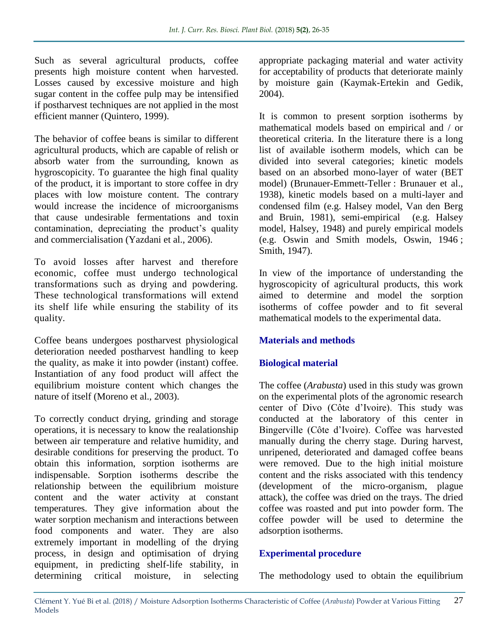Such as several agricultural products, coffee presents high moisture content when harvested. Losses caused by excessive moisture and high sugar content in the coffee pulp may be intensified if postharvest techniques are not applied in the most efficient manner (Quintero, 1999).

The behavior of coffee beans is similar to different agricultural products, which are capable of relish or absorb water from the surrounding, known as hygroscopicity. To guarantee the high final quality of the product, it is important to store coffee in dry places with low moisture content. The contrary would increase the incidence of microorganisms that cause undesirable fermentations and toxin contamination, depreciating the product's quality and commercialisation (Yazdani et al., 2006).

To avoid losses after harvest and therefore economic, coffee must undergo technological transformations such as drying and powdering. These technological transformations will extend its shelf life while ensuring the stability of its quality.

Coffee beans undergoes postharvest physiological deterioration needed postharvest handling to keep the quality, as make it into powder (instant) coffee. Instantiation of any food product will affect the equilibrium moisture content which changes the nature of itself (Moreno et al., 2003).

To correctly conduct drying, grinding and storage operations, it is necessary to know the realationship between air temperature and relative humidity, and desirable conditions for preserving the product. To obtain this information, sorption isotherms are indispensable. Sorption isotherms describe the relationship between the equilibrium moisture content and the water activity at constant temperatures. They give information about the water sorption mechanism and interactions between food components and water. They are also extremely important in modelling of the drying process, in design and optimisation of drying equipment, in predicting shelf-life stability, in determining critical moisture, in selecting

appropriate packaging material and water activity for acceptability of products that deteriorate mainly by moisture gain (Kaymak-Ertekin and Gedik, 2004).

It is common to present sorption isotherms by mathematical models based on empirical and / or theoretical criteria. In the literature there is a long list of available isotherm models, which can be divided into several categories; kinetic models based on an absorbed mono-layer of water (BET model) (Brunauer-Emmett-Teller : Brunauer et al., 1938), kinetic models based on a multi-layer and condensed film (e.g. Halsey model, Van den Berg and Bruin, 1981), semi-empirical (e.g. Halsey model, Halsey, 1948) and purely empirical models (e.g. Oswin and Smith models, Oswin, 1946 ; Smith, 1947).

In view of the importance of understanding the hygroscopicity of agricultural products, this work aimed to determine and model the sorption isotherms of coffee powder and to fit several mathematical models to the experimental data.

### **Materials and methods**

### **Biological material**

The coffee (*Arabusta*) used in this study was grown on the experimental plots of the agronomic research center of Divo (Côte d'Ivoire). This study was conducted at the laboratory of this center in Bingerville (Côte d'Ivoire). Coffee was harvested manually during the cherry stage. During harvest, unripened, deteriorated and damaged coffee beans were removed. Due to the high initial moisture content and the risks associated with this tendency (development of the micro-organism, plague attack), the coffee was dried on the trays. The dried coffee was roasted and put into powder form. The coffee powder will be used to determine the adsorption isotherms.

### **Experimental procedure**

The methodology used to obtain the equilibrium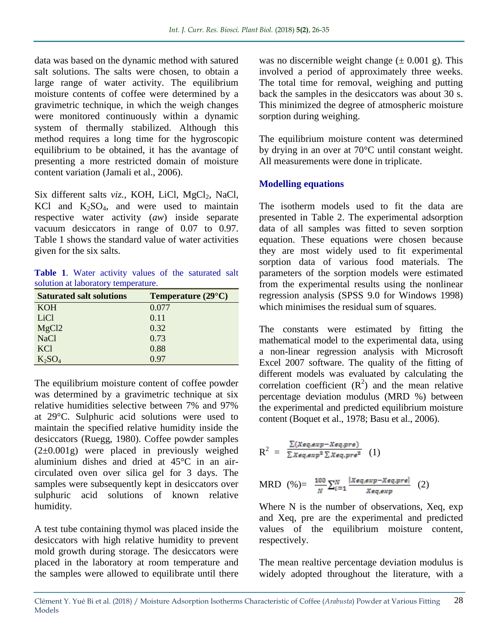data was based on the dynamic method with satured salt solutions. The salts were chosen, to obtain a large range of water activity. The equilibrium moisture contents of coffee were determined by a gravimetric technique, in which the weigh changes were monitored continuously within a dynamic system of thermally stabilized. Although this method requires a long time for the hygroscopic equilibrium to be obtained, it has the avantage of presenting a more restricted domain of moisture content variation (Jamali et al., 2006).

Six different salts *viz.*, KOH, LiCl, MgCl<sub>2</sub>, NaCl, KCl and  $K_2SO_4$ , and were used to maintain respective water activity (*aw*) inside separate vacuum desiccators in range of 0.07 to 0.97. Table 1 shows the standard value of water activities given for the six salts.

**Table 1**. Water activity values of the saturated salt solution at laboratory temperature.

| <b>Saturated salt solutions</b> | Temperature $(29^{\circ}C)$ |
|---------------------------------|-----------------------------|
| <b>KOH</b>                      | 0.077                       |
| LiCl                            | 0.11                        |
| MgCl <sub>2</sub>               | 0.32                        |
| <b>NaCl</b>                     | 0.73                        |
| KC <sub>1</sub>                 | 0.88                        |
| $K_2SO_4$                       | 0.97                        |

The equilibrium moisture content of coffee powder was determined by a gravimetric technique at six relative humidities selective between 7% and 97% at 29°C. Sulphuric acid solutions were used to maintain the specified relative humidity inside the desiccators (Ruegg, 1980). Coffee powder samples  $(2\pm0.001g)$  were placed in previously weighed aluminium dishes and dried at 45°C in an aircirculated oven over silica gel for 3 days. The samples were subsequently kept in desiccators over sulphuric acid solutions of known relative humidity.

A test tube containing thymol was placed inside the desiccators with high relative humidity to prevent mold growth during storage. The desiccators were placed in the laboratory at room temperature and the samples were allowed to equilibrate until there

was no discernible weight change  $(\pm 0.001 \text{ g})$ . This involved a period of approximately three weeks. The total time for removal, weighing and putting back the samples in the desiccators was about 30 s. This minimized the degree of atmospheric moisture sorption during weighing.

The equilibrium moisture content was determined by drying in an over at 70°C until constant weight. All measurements were done in triplicate.

### **Modelling equations**

The isotherm models used to fit the data are presented in Table 2. The experimental adsorption data of all samples was fitted to seven sorption equation. These equations were chosen because they are most widely used to fit experimental sorption data of various food materials. The parameters of the sorption models were estimated from the experimental results using the nonlinear regression analysis (SPSS 9.0 for Windows 1998) which minimises the residual sum of squares.

The constants were estimated by fitting the mathematical model to the experimental data, using a non-linear regression analysis with Microsoft Excel 2007 software. The quality of the fitting of different models was evaluated by calculating the correlation coefficient  $(R^2)$  and the mean relative percentage deviation modulus (MRD %) between the experimental and predicted equilibrium moisture content (Boquet et al., 1978; Basu et al., 2006).

$$
R^{2} = \frac{\sum (Xeq, exp-Xeq, pre)}{\sum Xeq, exp^{2} \sum Xeq, pre^{2}} (1)
$$

$$
\text{MRD} \quad (\%) = \frac{100}{N} \sum_{i=1}^{N} \frac{|Xeq, exp-Xeq, pre|}{Xeq, exp} \quad (2)
$$

Where N is the number of observations, Xeq, exp and Xeq, pre are the experimental and predicted values of the equilibrium moisture content, respectively.

The mean realtive percentage deviation modulus is widely adopted throughout the literature, with a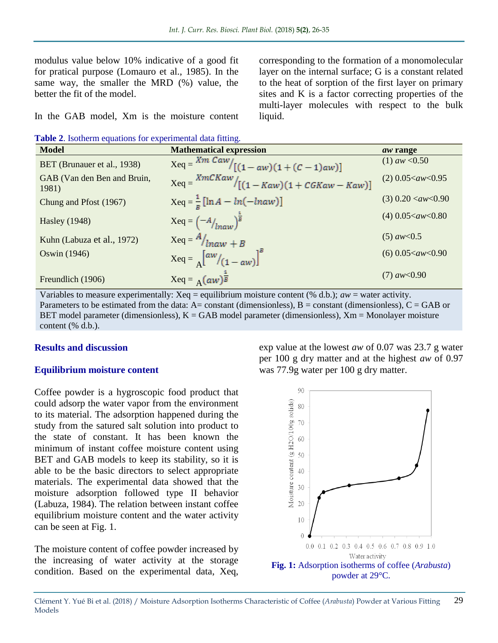modulus value below 10% indicative of a good fit for pratical purpose (Lomauro et al., 1985). In the same way, the smaller the MRD (%) value, the better the fit of the model.

corresponding to the formation of a monomolecular layer on the internal surface; G is a constant related to the heat of sorption of the first layer on primary sites and K is a factor correcting properties of the multi-layer molecules with respect to the bulk liquid.

In the GAB model, Xm is the moisture content

**Table 2**. Isotherm equations for experimental data fitting.

| <b>Model</b>                         | <b>Mathematical expression</b>                           | <i>aw</i> range                              |
|--------------------------------------|----------------------------------------------------------|----------------------------------------------|
| BET (Brunauer et al., 1938)          | $Xeq = \frac{Xm \text{ Caw}}{[(1 - aw)(1 + (C - 1)aw)]}$ | $(1)$ aw $< 0.50$                            |
| GAB (Van den Ben and Bruin,<br>1981) | $Xeq = \frac{XmCKaw}{[(1-Kaw)(1+CGKaw-Kaw)]}$            | $(2)$ 0.05 < <i>aw</i> < 0.95                |
| Chung and Pfost (1967)               | $Xeq = \frac{1}{R} [\ln A - \ln(-\ln aw)]$               | $(3)$ 0.20 $\langle aw \langle 0.90 \rangle$ |
| <b>Hasley</b> (1948)                 | $Xeq = \left(\frac{-A}{lnaw}\right)^{\frac{1}{B}}$       | $(4)$ 0.05 $\lt$ aw $\lt$ 0.80               |
| Kuhn (Labuza et al., 1972)           | $Xeq = \frac{A}{naw + B}$                                | $(5)$ aw $0.5$                               |
| Oswin (1946)                         | $Xeq = \frac{1}{4} \left[ \frac{aw}{(1 - aw)} \right]^B$ | $(6)$ 0.05 $\lt$ aw $\lt$ 0.90               |
| Freundlich (1906)                    | $Xeq = \frac{1}{A}(aw)^{\frac{1}{B}}$                    | $(7)$ aw $<0.90$                             |

Variables to measure experimentally: Xeq = equilibrium moisture content (% d.b.);  $aw =$  water activity. Parameters to be estimated from the data:  $A = constant$  (dimensionless),  $B = constant$  (dimensionless),  $C = GAB$  or BET model parameter (dimensionless),  $K = GAB$  model parameter (dimensionless),  $Xm = Monolayer$  moisture content (% d.b.).

#### **Results and discussion**

#### **Equilibrium moisture content**

Coffee powder is a hygroscopic food product that could adsorp the water vapor from the environment to its material. The adsorption happened during the study from the satured salt solution into product to the state of constant. It has been known the minimum of instant coffee moisture content using BET and GAB models to keep its stability, so it is able to be the basic directors to select appropriate materials. The experimental data showed that the moisture adsorption followed type II behavior (Labuza, 1984). The relation between instant coffee equilibrium moisture content and the water activity can be seen at Fig. 1.

The moisture content of coffee powder increased by the increasing of water activity at the storage condition. Based on the experimental data, Xeq, exp value at the lowest *aw* of 0.07 was 23.7 g water per 100 g dry matter and at the highest *aw* of 0.97 was 77.9g water per 100 g dry matter.

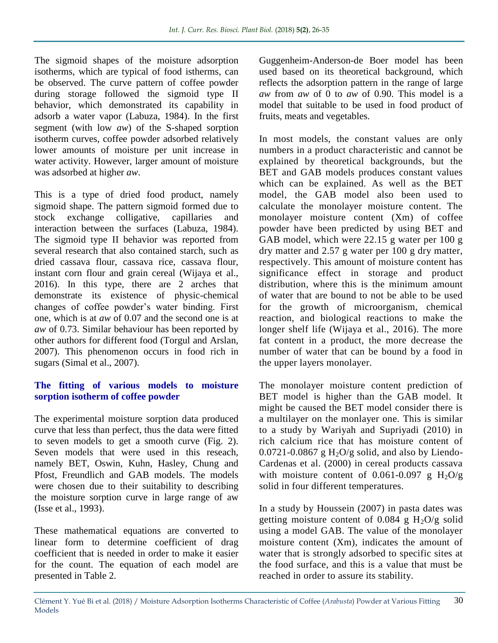The sigmoid shapes of the moisture adsorption isotherms, which are typical of food istherms, can be observed. The curve pattern of coffee powder during storage followed the sigmoid type II behavior, which demonstrated its capability in adsorb a water vapor (Labuza, 1984). In the first segment (with low *aw*) of the S-shaped sorption isotherm curves, coffee powder adsorbed relatively lower amounts of moisture per unit increase in water activity. However, larger amount of moisture was adsorbed at higher *aw*.

This is a type of dried food product, namely sigmoid shape. The pattern sigmoid formed due to stock exchange colligative, capillaries and interaction between the surfaces (Labuza, 1984). The sigmoid type II behavior was reported from several research that also contained starch, such as dried cassava flour, cassava rice, cassava flour, instant corn flour and grain cereal (Wijaya et al., 2016). In this type, there are 2 arches that demonstrate its existence of physic-chemical changes of coffee powder's water binding. First one, which is at *aw* of 0.07 and the second one is at *aw* of 0.73. Similar behaviour has been reported by other authors for different food (Torgul and Arslan, 2007). This phenomenon occurs in food rich in sugars (Simal et al., 2007).

### **The fitting of various models to moisture sorption isotherm of coffee powder**

The experimental moisture sorption data produced curve that less than perfect, thus the data were fitted to seven models to get a smooth curve (Fig. 2). Seven models that were used in this reseach, namely BET, Oswin, Kuhn, Hasley, Chung and Pfost, Freundlich and GAB models. The models were chosen due to their suitability to describing the moisture sorption curve in large range of aw (Isse et al., 1993).

These mathematical equations are converted to linear form to determine coefficient of drag coefficient that is needed in order to make it easier for the count. The equation of each model are presented in Table 2.

Guggenheim-Anderson-de Boer model has been used based on its theoretical background, which reflects the adsorption pattern in the range of large *aw* from *aw* of 0 to *aw* of 0.90. This model is a model that suitable to be used in food product of fruits, meats and vegetables.

In most models, the constant values are only numbers in a product characteristic and cannot be explained by theoretical backgrounds, but the BET and GAB models produces constant values which can be explained. As well as the BET model, the GAB model also been used to calculate the monolayer moisture content. The monolayer moisture content (Xm) of coffee powder have been predicted by using BET and GAB model, which were 22.15 g water per 100 g dry matter and 2.57 g water per 100 g dry matter, respectively. This amount of moisture content has significance effect in storage and product distribution, where this is the minimum amount of water that are bound to not be able to be used for the growth of microorganism, chemical reaction, and biological reactions to make the longer shelf life (Wijaya et al., 2016). The more fat content in a product, the more decrease the number of water that can be bound by a food in the upper layers monolayer.

The monolayer moisture content prediction of BET model is higher than the GAB model. It might be caused the BET model consider there is a multilayer on the monlayer one. This is similar to a study by Wariyah and Supriyadi (2010) in rich calcium rice that has moisture content of  $0.0721 - 0.0867$  g H<sub>2</sub>O/g solid, and also by Liendo-Cardenas et al. (2000) in cereal products cassava with moisture content of 0.061-0.097 g  $H_2O/g$ solid in four different temperatures.

In a study by Houssein (2007) in pasta dates was getting moisture content of 0.084 g  $H_2O/g$  solid using a model GAB. The value of the monolayer moisture content (Xm), indicates the amount of water that is strongly adsorbed to specific sites at the food surface, and this is a value that must be reached in order to assure its stability.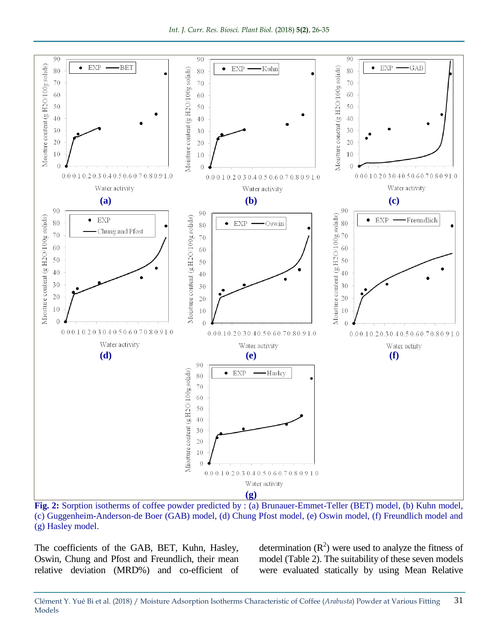

**Fig. 2:** Sorption isotherms of coffee powder predicted by : (a) Brunauer-Emmet-Teller (BET) model, (b) Kuhn model, (c) Guggenheim-Anderson-de Boer (GAB) model, (d) Chung Pfost model, (e) Oswin model, (f) Freundlich model and (g) Hasley model.

The coefficients of the GAB, BET, Kuhn, Hasley, Oswin, Chung and Pfost and Freundlich, their mean relative deviation (MRD%) and co-efficient of

determination  $(R^2)$  were used to analyze the fitness of model (Table 2). The suitability of these seven models were evaluated statically by using Mean Relative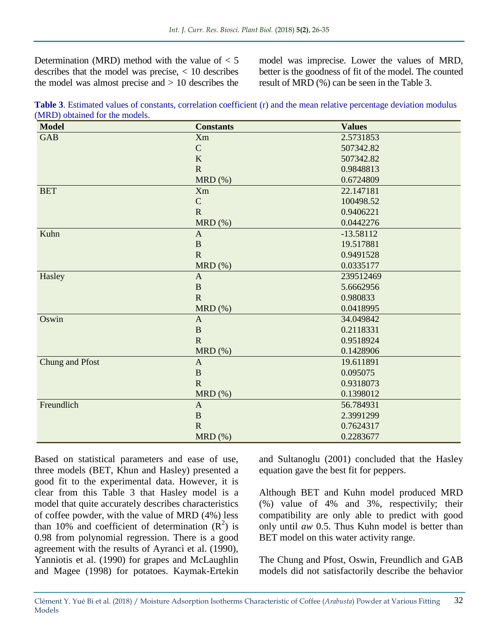Determination (MRD) method with the value of  $< 5$ describes that the model was precise, < 10 describes the model was almost precise and  $> 10$  describes the model was imprecise. Lower the values of MRD, better is the goodness of fit of the model. The counted result of MRD (%) can be seen in the Table 3.

| Table 3. Estimated values of constants, correlation coefficient (r) and the mean relative percentage deviation modulus |  |  |
|------------------------------------------------------------------------------------------------------------------------|--|--|
| (MRD) obtained for the models.                                                                                         |  |  |

| $\frac{1}{2}$ obtained for the models.<br><b>Model</b> | <b>Constants</b> | <b>Values</b> |
|--------------------------------------------------------|------------------|---------------|
| <b>GAB</b>                                             | <b>Xm</b>        | 2.5731853     |
|                                                        | $\mathsf{C}$     | 507342.82     |
|                                                        | K                | 507342.82     |
|                                                        | ${\bf R}$        | 0.9848813     |
|                                                        | $MRD(\%)$        | 0.6724809     |
| <b>BET</b>                                             | <b>Xm</b>        | 22.147181     |
|                                                        | $\mathbf C$      | 100498.52     |
|                                                        | $\mathbf R$      | 0.9406221     |
|                                                        | $MRD(\%)$        | 0.0442276     |
| Kuhn                                                   | $\mathbf{A}$     | $-13.58112$   |
|                                                        | $\, {\bf B}$     | 19.517881     |
|                                                        | $\mathbf R$      | 0.9491528     |
|                                                        | $MRD(\%)$        | 0.0335177     |
| Hasley                                                 | $\mathbf{A}$     | 239512469     |
|                                                        | $\, {\bf B}$     | 5.6662956     |
|                                                        | ${\bf R}$        | 0.980833      |
|                                                        | $MRD(\%)$        | 0.0418995     |
| Oswin                                                  | $\mathbf{A}$     | 34.049842     |
|                                                        | $\, {\bf B}$     | 0.2118331     |
|                                                        | $\mathbf R$      | 0.9518924     |
|                                                        | $MRD(\%)$        | 0.1428906     |
| Chung and Pfost                                        | $\mathbf{A}$     | 19.611891     |
|                                                        | $\, {\bf B}$     | 0.095075      |
|                                                        | $\mathbf R$      | 0.9318073     |
|                                                        | $MRD(\%)$        | 0.1398012     |
| Freundlich                                             | $\mathbf{A}$     | 56.784931     |
|                                                        | $\, {\bf B}$     | 2.3991299     |
|                                                        | $\mathbf R$      | 0.7624317     |
|                                                        | $MRD(\%)$        | 0.2283677     |

Based on statistical parameters and ease of use, three models (BET, Khun and Hasley) presented a good fit to the experimental data. However, it is clear from this Table 3 that Hasley model is a model that quite accurately describes characteristics of coffee powder, with the value of MRD (4%) less than 10% and coefficient of determination  $(R^2)$  is 0.98 from polynomial regression. There is a good agreement with the results of Ayranci et al. (1990), Yanniotis et al. (1990) for grapes and McLaughlin and Magee (1998) for potatoes. Kaymak-Ertekin

and Sultanoglu (2001) concluded that the Hasley equation gave the best fit for peppers.

Although BET and Kuhn model produced MRD (%) value of 4% and 3%, respectivily; their compatibility are only able to predict with good only until *aw* 0.5. Thus Kuhn model is better than BET model on this water activity range.

The Chung and Pfost, Oswin, Freundlich and GAB models did not satisfactorily describe the behavior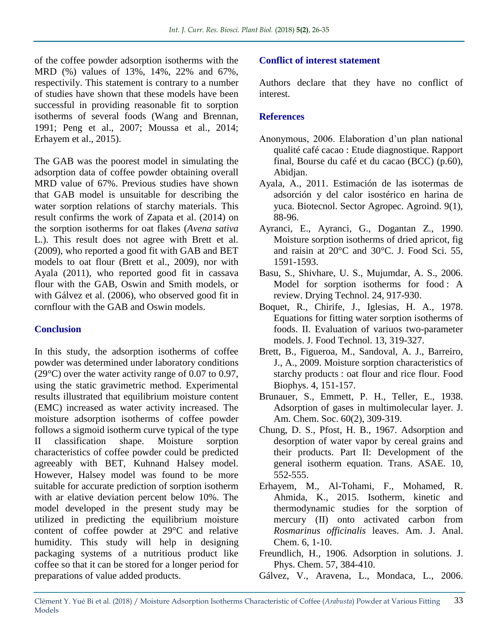of the coffee powder adsorption isotherms with the MRD (%) values of 13%, 14%, 22% and 67%, respectivily. This statement is contrary to a number of studies have shown that these models have been successful in providing reasonable fit to sorption isotherms of several foods (Wang and Brennan, 1991; Peng et al., 2007; Moussa et al., 2014; Erhayem et al., 2015).

The GAB was the poorest model in simulating the adsorption data of coffee powder obtaining overall MRD value of 67%. Previous studies have shown that GAB model is unsuitable for describing the water sorption relations of starchy materials. This result confirms the work of Zapata et al. (2014) on the sorption isotherms for oat flakes (*Avena sativa*  L.). This result does not agree with Brett et al. (2009), who reported a good fit with GAB and BET models to oat flour (Brett et al., 2009), nor with Ayala (2011), who reported good fit in cassava flour with the GAB, Oswin and Smith models, or with Gálvez et al. (2006), who observed good fit in cornflour with the GAB and Oswin models.

### **Conclusion**

In this study, the adsorption isotherms of coffee powder was determined under laboratory conditions (29°C) over the water activity range of 0.07 to 0.97, using the static gravimetric method. Experimental results illustrated that equilibrium moisture content (EMC) increased as water activity increased. The moisture adsorption isotherms of coffee powder follows a sigmoid isotherm curve typical of the type II classification shape. Moisture sorption characteristics of coffee powder could be predicted agreeably with BET, Kuhnand Halsey model. However, Halsey model was found to be more suitable for accurate prediction of sorption isotherm with ar elative deviation percent below 10%. The model developed in the present study may be utilized in predicting the equilibrium moisture content of coffee powder at 29°C and relative humidity. This study will help in designing packaging systems of a nutritious product like coffee so that it can be stored for a longer period for preparations of value added products.

### **Conflict of interest statement**

Authors declare that they have no conflict of interest.

#### **References**

- Anonymous, 2006. Elaboration d'un plan national qualité café cacao : Etude diagnostique. Rapport final, Bourse du café et du cacao (BCC) (p.60), Abidjan.
- Ayala, A., 2011. Estimación de las isotermas de adsorción y del calor isostérico en harina de yuca. Biotecnol. Sector Agropec. Agroind. 9(1), 88-96.
- Ayranci, E., Ayranci, G., Dogantan Z., 1990. Moisture sorption isotherms of dried apricot, fig and raisin at 20°C and 30°C. J. Food Sci. 55, 1591-1593.
- Basu, S., Shivhare, U. S., Mujumdar, A. S., 2006. Model for sorption isotherms for food : A review. Drying Technol. 24, 917-930.
- Boquet, R., Chirife, J., Iglesias, H. A., 1978. Equations for fitting water sorption isotherms of foods. II. Evaluation of variuos two-parameter models. J. Food Technol. 13, 319-327.
- Brett, B., Figueroa, M., Sandoval, A. J., Barreiro, J., A., 2009. Moisture sorption characteristics of starchy products : oat flour and rice flour. Food Biophys. 4, 151-157.
- Brunauer, S., Emmett, P. H., Teller, E., 1938. Adsorption of gases in multimolecular layer. J. Am. Chem. Soc. 60(2), 309-319.
- Chung, D. S., Pfost, H. B., 1967. Adsorption and desorption of water vapor by cereal grains and their products. Part II: Development of the general isotherm equation. Trans. ASAE. 10, 552-555.
- Erhayem, M., Al-Tohami, F., Mohamed, R. Ahmida, K., 2015. Isotherm, kinetic and thermodynamic studies for the sorption of mercury (II) onto activated carbon from *Rosmarinus officinalis* leaves. Am. J. Anal. Chem. 6, 1-10.
- Freundlich, H., 1906. Adsorption in solutions. J. Phys. Chem. 57, 384-410.
- Gálvez, V., Aravena, L., Mondaca, L., 2006.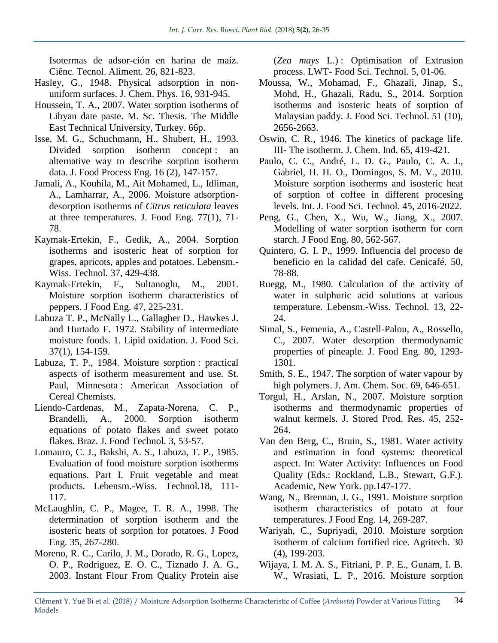Isotermas de adsor-ción en harina de maíz. Ciênc. Tecnol. Aliment. 26, 821-823.

- Hasley, G., 1948. Physical adsorption in nonuniform surfaces. J. Chem. Phys. 16, 931-945.
- Houssein, T. A., 2007. Water sorption isotherms of Libyan date paste. M. Sc. Thesis. The Middle East Technical University, Turkey. 66p.
- Isse, M. G., Schuchmann, H., Shubert, H., 1993. Divided sorption isotherm concept : an alternative way to describe sorption isotherm data. J. Food Process Eng. 16 (2), 147-157.
- Jamali, A., Kouhila, M., Ait Mohamed, L., Idliman, A., Lamharrar, A., 2006. Moisture adsorptiondesorption isotherms of *Citrus reticulata* leaves at three temperatures. J. Food Eng. 77(1), 71- 78.
- Kaymak-Ertekin, F., Gedik, A., 2004. Sorption isotherms and isosteric heat of sorption for grapes, apricots, apples and potatoes. Lebensm.- Wiss. Technol*.* 37, 429-438.
- Kaymak-Ertekin, F., Sultanoglu, M., 2001. Moisture sorption isotherm characteristics of peppers. J Food Eng. 47, 225-231.
- Labuza T. P., McNally L., Gallagher D., Hawkes J. and Hurtado F. 1972. Stability of intermediate moisture foods. 1. Lipid oxidation. J. Food Sci. 37(1), 154-159.
- Labuza, T. P., 1984. Moisture sorption : practical aspects of isotherm measurement and use. St. Paul, Minnesota : American Association of Cereal Chemists.
- Liendo-Cardenas, M., Zapata-Norena, C. P., Brandelli, A., 2000. Sorption isotherm equations of potato flakes and sweet potato flakes. Braz. J. Food Technol. 3, 53-57.
- Lomauro, C. J., Bakshi, A. S., Labuza, T. P., 1985. Evaluation of food moisture sorption isotherms equations. Part I. Fruit vegetable and meat products. Lebensm.-Wiss. Technol*.*18, 111- 117.
- McLaughlin, C. P., Magee, T. R. A., 1998. The determination of sorption isotherm and the isosteric heats of sorption for potatoes. J Food Eng. 35, 267-280.
- Moreno, R. C., Carilo, J. M., Dorado, R. G., Lopez, O. P., Rodriguez, E. O. C., Tiznado J. A. G., 2003. Instant Flour From Quality Protein aise

(*Zea mays* L.) : Optimisation of Extrusion process. LWT- Food Sci. Technol. 5, 01-06.

- Moussa, W., Mohamad, F., Ghazali, Jinap, S., Mohd, H., Ghazali, Radu, S., 2014. Sorption isotherms and isosteric heats of sorption of Malaysian paddy. J. Food Sci. Technol. 51 (10), 2656-2663.
- Oswin, C. R., 1946. The kinetics of package life. III- The isotherm. J. Chem. Ind. 65, 419-421.
- Paulo, C. C., André, L. D. G., Paulo, C. A. J., Gabriel, H. H. O., Domingos, S. M. V., 2010. Moisture sorption isotherms and isosteric heat of sorption of coffee in different procesing levels. Int. J. Food Sci. Technol. 45, 2016-2022.
- Peng, G., Chen, X., Wu, W., Jiang, X., 2007. Modelling of water sorption isotherm for corn starch. J Food Eng. 80, 562-567.
- Quintero, G. I. P., 1999. Influencia del proceso de beneficio en la calidad del cafe. Cenicafé. 50, 78-88.
- Ruegg, M., 1980. Calculation of the activity of water in sulphuric acid solutions at various temperature. Lebensm.-Wiss. Technol*.* 13, 22- 24.
- Simal, S., Femenia, A., Castell-Palou, A., Rossello, C., 2007. Water desorption thermodynamic properties of pineaple. J. Food Eng. 80, 1293- 1301.
- Smith, S. E., 1947. The sorption of water vapour by high polymers. J. Am. Chem. Soc. 69, 646-651.
- Torgul, H., Arslan, N., 2007. Moisture sorption isotherms and thermodynamic properties of walnut kermels. J. Stored Prod. Res. 45, 252- 264.
- Van den Berg, C., Bruin, S., 1981. Water activity and estimation in food systems: theoretical aspect. In: Water Activity: Influences on Food Quality (Eds.: Rockland, L.B., Stewart, G.F.). Academic, New York. pp.147-177.
- Wang, N., Brennan, J. G., 1991. Moisture sorption isotherm characteristics of potato at four temperatures. J Food Eng. 14, 269-287.
- Wariyah, C., Supriyadi, 2010. Moisture sorption isotherm of calcium fortified rice. Agritech. 30 (4), 199-203.
- Wijaya, I. M. A. S., Fitriani, P. P. E., Gunam, I. B. W., Wrasiati, L. P., 2016. Moisture sorption